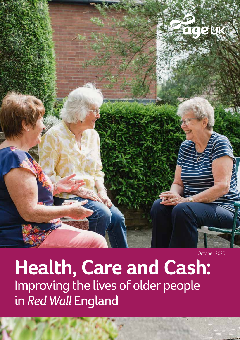

October 2020

**Health, Care and Cash:**  Improving the lives of older people in *Red Wall* England

ww.ageuk.org.uk/our-impact/politics-and-government/ 1999. In the control to the control to the control of the c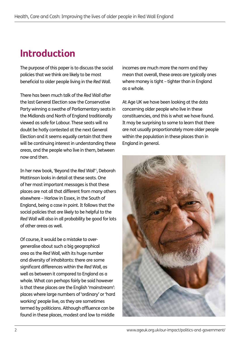# **Introduction**

The purpose of this paper is to discuss the social policies that we think are likely to be most beneficial to older people living in the *Red Wall*.

There has been much talk of the *Red Wall* after the last General Election saw the Conservative Party winning a swathe of Parliamentary seats in the Midlands and North of England traditionally viewed as safe for Labour. These seats will no doubt be hotly contested at the next General Election and it seems equally certain that there will be continuing interest in understanding these areas, and the people who live in them, between now and then.

In her new book, 'Beyond the *Red Wall*' i , Deborah Mattinson looks in detail at these seats. One of her most important messages is that these places are not all that different from many others elsewhere – Harlow in Essex, in the South of England, being a case in point. It follows that the social policies that are likely to be helpful to the *Red Wall* will also in all probability be good for lots of other areas as well.

Of course, it would be a mistake to overgeneralise about such a big geographical area as the *Red Wall*, with its huge number and diversity of inhabitants: there are some significant differences within the *Red Wall*, as well as between it compared to England as a whole. What can perhaps fairly be said however is that these places are the English 'mainstream': places where large numbers of 'ordinary' or 'hard working' people live, as they are sometimes termed by politicians. Although affluence can be found in these places, modest and low to middle

incomes are much more the norm and they mean that overall, these areas are typically ones where money is tight – tighter than in England as a whole.

At Age UK we have been looking at the data concerning older people who live in these constituencies, and this is what we have found. It may be surprising to some to learn that there are not usually proportionately more older people within the population in these places than in England in general.

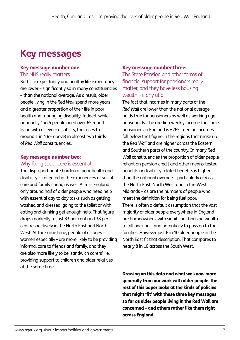# **Key messages**

#### Key message number one: The NHS really matters

Both life expectancy and healthy life expectancy are lower – significantly so in many constituencies – than the national average. As a result, older people living in the *Red Wall* spend more years and a greater proportion of their life in poor health and managing disability. Indeed, while nationally 1 in 5 people aged over 65 report living with a severe disability, that rises to around 1 in 4 (or above) in almost two thirds of *Red Wall* constituencies.

## Key message number two:

#### Why fixing social care is essential

The disproportionate burden of poor health and disability is reflected in the experiences of social care and family caring as well. Across England only around half of older people who need help with essential day to day tasks such as getting washed and dressed, going to the toilet or with eating and drinking get enough help. That figure drops markedly to just 33 per cent and 38 per cent respectively in the North East and North West. At the same time, people of all ages – women especially - are more likely to be providing informal care to friends and family, and they are also more likely to be 'sandwich carers', i.e. providing support to children and older relatives at the same time.

#### Key message number three:

The State Pension and other forms of financial support for pensioners really matter, and they have less housing wealth – if any at all

The fact that incomes in many parts of the *Red Wall* are lower than the national average holds true for pensioners as well as working age households. The median weekly income for single pensioners in England is £265; median incomes fall below that figure in the regions that make up the *Red Wall* and are higher across the Eastern and Southern parts of the country. In many *Red Wall* constituencies the proportion of older people reliant on pension credit and other means-tested benefits or disability related benefits is higher than the national average – particularly across the North East, North West and in the West Midlands – as are the numbers of people who meet the definition for being fuel poor. There is often a default assumption that the vast majority of older people everywhere in England are homeowners, with significant housing wealth to fall back on – and potentially to pass on to their families. However just 6 in 10 older people in the North East fit that description. That compares to nearly 8 in 10 across the South West.

Drawing on this data and what we know more generally from our work with older people, the rest of this paper looks at the kinds of policies that might 'fit' with these three key messages so far as older people living in the Red Wall are concerned – and others rather like them right across England.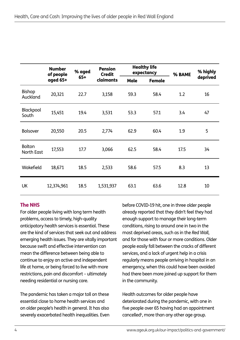|                                    | <b>Number</b><br>of people<br>aged 65+ | % aged<br>$65+$ | <b>Pension</b><br><b>Credit</b><br>claimants | <b>Healthy life</b><br>expectancy |               | % BAME | % highly |
|------------------------------------|----------------------------------------|-----------------|----------------------------------------------|-----------------------------------|---------------|--------|----------|
|                                    |                                        |                 |                                              | <b>Male</b>                       | <b>Female</b> |        | deprived |
| Bishop<br>Auckland                 | 20,321                                 | 22.7            | 3,158                                        | 59.3                              | 58.4          | 1.2    | 16       |
| Blackpool<br>South                 | 15,451                                 | 19.4            | 3,531                                        | 53.3                              | 57.1          | 3.4    | 47       |
| <b>Bolsover</b>                    | 20,550                                 | 20.5            | 2,774                                        | 62.9                              | 60.4          | 1.9    | 5        |
| <b>Bolton</b><br><b>North East</b> | 17,553                                 | 17.7            | 3,066                                        | 62.5                              | 58.4          | 17.5   | 34       |
| Wakefield                          | 18,671                                 | 18.5            | 2,533                                        | 58.6                              | 57.5          | 8.3    | 13       |
| <b>UK</b>                          | 12,374,961                             | 18.5            | 1,531,937                                    | 63.1                              | 63.6          | 12.8   | 10       |

### The NHS

For older people living with long term health problems, access to timely, high-quality anticipatory health services is essential. These are the kind of services that seek out and address emerging health issues. They are vitally important because swift and effective intervention can mean the difference between being able to continue to enjoy an active and independent life at home, or being forced to live with more restrictions, pain and discomfort – ultimately needing residential or nursing care.

The pandemic has taken a major toll on these essential close to home health services and on older people's health in general. It has also severely exacerbated health inequalities. Even

before COVID-19 hit, one in three older people already reported that they didn't feel they had enough support to manage their long-term conditions, rising to around one in two in the most deprived areas, such as in the *Red Wall*, and for those with four or more conditions. Older people easily fall between the cracks of different services, and a lack of urgent help in a crisis regularly means people arriving in hospital in an emergency, when this could have been avoided had there been more joined up support for them in the community.

Health outcomes for older people have deteriorated during the pandemic, with one in five people over 65 having had an appointment cancelled<sup>ii</sup>, more than any other age group.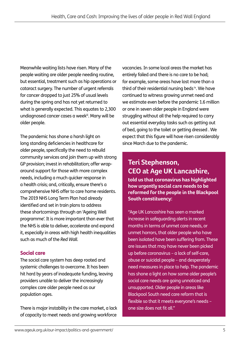Meanwhile waiting lists have risen. Many of the people waiting are older people needing routine, but essential, treatment such as hip operations or cataract surgery. The number of urgent referrals for cancer dropped to just 25% of usual levels during the spring and has not yet returned to what is generally expected. This equates to 2,300 undiagnosed cancer cases a weekiii. Many will be older people.

The pandemic has shone a harsh light on long standing deficiencies in healthcare for older people, specifically the need to rebuild community services and join them up with strong GP provision; invest in rehabilitation; offer wraparound support for those with more complex needs, including a much quicker response in a health crisis; and, critically, ensure there's a comprehensive NHS offer to care home residents. The 2019 NHS Long Term Plan had already identified and set in train plans to address these shortcomings through an 'Ageing Well programme'. It is more important than ever that the NHS is able to deliver, accelerate and expand it, especially in areas with high health inequalities such as much of the *Red Wall*.

### Social care

The social care system has deep rooted and systemic challenges to overcome. It has been hit hard by years of inadequate funding, leaving providers unable to deliver the increasingly complex care older people need as our population ages.

There is major instability in the care market, a lack of capacity to meet needs and growing workforce

vacancies. In some local areas the market has entirely failed and there is no care to be had; for example, some areas have lost more than a third of their residential nursing beds iv. We have continued to witness growing unmet need and we estimate even before the pandemic 1.6 million or one in seven older people in England were struggling without all the help required to carry out essential everyday tasks such as getting out of bed, going to the toilet or getting dressed . We expect that this figure will have risen considerably since March due to the pandemic.

## **Teri Stephenson, CEO at Age UK Lancashire,**

**told us that coronavirus has highlighted how urgently social care needs to be reformed for the people in the Blackpool South constituency:**

"Age UK Lancashire has seen a marked increase in safeguarding alerts in recent months in terms of unmet care needs, or unmet horrors, that older people who have been isolated have been suffering from. These are issues that may have never been picked up before coronavirus – a lack of self-care, abuse or suicidal people – and desperately need measures in place to help. The pandemic has shone a light on how some older people's social care needs are going unnoticed and unsupported. Older people in areas like Blackpool South need care reform that is flexible so that it meets everyone's needs – one size does not fit all."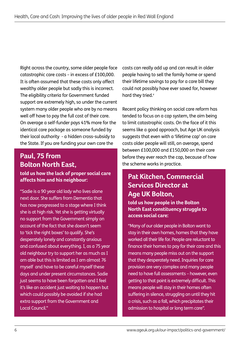Right across the country, some older people face catastrophic care costs – in excess of £100,000. It is often assumed that these costs only affect wealthy older people but sadly this is incorrect. The eligibility criteria for Government funded support are extremely high, so under the current system many older people who are by no means well off have to pay the full cost of their care. On average a self-funder pays 41% more for the identical care package as someone funded by their local authority - a hidden cross-subsidy to the State. If you are funding your own care the

### **Paul, 75 from Bolton North East,**

**told us how the lack of proper social care affects him and his neighbour: Pat Kitchen, Commercial** 

"Sadie is a 90 year old lady who lives alone next door. She suffers from Dementia that has now progressed to a stage where I think she is at high risk. Yet she is getting virtually no support from the Government simply on account of the fact that she doesn't seem to 'tick the right boxes' to qualify. She's desperately lonely and constantly anxious and confused about everything. I, as a 75 year old neighbour try to support her as much as I am able but this is limited as I am almost 76 myself and have to be careful myself these days and under present circumstances. Sadie just seems to have been forgotten and I feel it's like an accident just waiting to happen but which could possibly be avoided if she had extra support from the Government and Local Council."

costs can really add up and can result in older people having to sell the family home or spend their lifetime savings to pay for a care bill they could not possibly have ever saved for, however hard they tried.<sup>v</sup>

Recent policy thinking on social care reform has tended to focus on a cap system, the aim being to limit catastrophic costs. On the face of it this seems like a good approach, but Age UK analysis suggests that even with a 'lifetime cap' on care costs older people will still, on average, spend between £100,000 and £150,000 on their care before they ever reach the cap, because of how the scheme works in practice.

# **Services Director at Age UK Bolton,**

#### **told us how people in the Bolton North East constituency struggle to access social care:**

"Many of our older people in Bolton want to stay in their own homes, homes that they have worked all their life for. People are reluctant to finance their homes to pay for their care and this means many people miss out on the support that they desperately need. Inquiries for care provision are very complex and many people need to have full assessments – however, even getting to that point is extremely difficult. This means people will stay in their homes often suffering in silence, struggling on until they hit a crisis, such as a fall, which precipitates their admission to hospital or long term care''.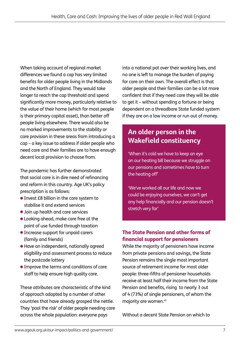When taking account of regional market differences we found a cap has very limited benefits for older people living in the Midlands and the North of England. They would take longer to reach the cap threshold and spend significantly more money, particularly relative to the value of their home (which for most people is their primary capital asset), than better off people living elsewhere. There would also be no marked improvements to the stability or care provision in these areas from introducing a cap – a key issue to address if older people who need care and their families are to have enough decent local provision to choose from.

The pandemic has further demonstrated that social care is in dire need of refinancing and reform in this country. Age UK's policy prescription is as follows:

- Invest £8 billion in the care system to stabilise it and extend services
- **.** Join up health and care services
- l Looking ahead, make care free at the point of use funded through taxation
- **Increase support for unpaid carers** (family and friends)
- l Have an independent, nationally agreed eligibility and assessment process to reduce the postcode lottery
- **Improve the terms and conditions of care** staff to help ensure high quality care.

These attributes are characteristic of the kind of approach adopted by a number of other countries that have already grasped the nettle. They 'pool the risk' of older people needing care across the whole population: everyone pays

into a national pot over their working lives, and no one is left to manage the burden of paying for care on their own. The overall effect is that older people and their families can be a lot more confident that if they need care they will be able to get it – without spending a fortune or being dependent on a threadbare State funded system if they are on a low income or run out of money.

## **An older person in the Wakefield constituency**

'When it's cold we have to keep an eye on our heating bill because we struggle on our pensions and sometimes have to turn the heating off'

'We've worked all our life and now we could be enjoying ourselves, we can't get any help financially and our pension doesn't stretch very far'

### The State Pension and other forms of financial support for pensioners

While the majority of pensioners have income from private pensions and savings, the State Pension remains the single most important source of retirement income for most older people: three-fifths of pensioner households receive at least half their income from the State Pension and benefits, rising to nearly 3 out of 4 (73%) of single pensioners, of whom the majority are women.<sup>vii</sup>

Without a decent State Pension on which to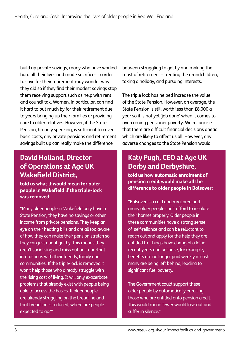build up private savings, many who have worked hard all their lives and made sacrifices in order to save for their retirement may wonder why they did so if they find their modest savings stop them receiving support such as help with rent and council tax. Women, in particular, can find it hard to put much by for their retirement due to years bringing up their families or providing care to older relatives. However, if the State Pension, broadly speaking, is sufficient to cover basic costs, any private pensions and retirement savings built up can really make the difference

## **David Holland, Director of Operations at Age UK Wakefield District,**

**told us what it would mean for older people in Wakefield if the triple-lock was removed:** 

"Many older people in Wakefield only have a State Pension, they have no savings or other income from private pensions. They keep an eye on their heating bills and are all too aware of how they can make their pension stretch so they can just about get by. This means they aren't socialising and miss out on important interactions with their friends, family and communities. If the triple-lock is removed it won't help those who already struggle with the rising cost of living. It will only exacerbate problems that already exist with people being able to access the basics. If older people are already struggling on the breadline and that breadline is reduced, where are people expected to go?"

between struggling to get by and making the most of retirement – treating the grandchildren, taking a holiday, and pursuing interests.

The triple lock has helped increase the value of the State Pension. However, on average, the State Pension is still worth less than £8,000 a year so it is not yet 'job done' when it comes to overcoming pensioner poverty. We recognise that there are difficult financial decisions ahead which are likely to affect us all. However, any adverse changes to the State Pension would

## **Katy Pugh, CEO at Age UK Derby and Derbyshire,**

**told us how automatic enrolment of pension credit would make all the difference to older people in Bolsover:** 

"Bolsover is a cold and rural area and many older people can't afford to insulate their homes properly. Older people in these communities have a strong sense of self-reliance and can be reluctant to reach out and apply for the help they are entitled to. Things have changed a lot in recent years and because, for example, benefits are no longer paid weekly in cash, many are being left behind, leading to significant fuel poverty.

The Government could support these older people by automatically enrolling those who are entitled onto pension credit. This would mean fewer would lose out and suffer in silence."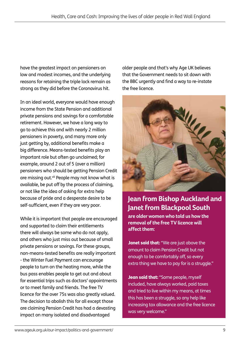have the greatest impact on pensioners on low and modest incomes, and the underlying reasons for retaining the triple lock remain as strong as they did before the Coronavirus hit.

In an ideal world, everyone would have enough income from the State Pension and additional private pensions and savings for a comfortable retirement. However, we have a long way to go to achieve this and with nearly 2 million pensioners in poverty, and many more only just getting by, additional benefits make a big difference. Means-tested benefits play an important role but often go unclaimed; for example, around 2 out of 5 (over a million) pensioners who should be getting Pension Credit are missing out.<sup>viii</sup> People may not know what is available, be put off by the process of claiming, or not like the idea of asking for extra help because of pride and a desperate desire to be self-sufficient, even if they are very poor.

While it is important that people are encouraged and supported to claim their entitlements there will always be some who do not apply, and others who just miss out because of small private pensions or savings. For these groups, non-means-tested benefits are really important - the Winter Fuel Payment can encourage people to turn on the heating more, while the bus pass enables people to get out and about for essential trips such as doctors' appointments or to meet family and friends. The free TV licence for the over 75s was also greatly valued. The decision to abolish this for all except those are claiming Pension Credit has had a devasting impact on many isolated and disadvantaged

older people and that's why Age UK believes that the Government needs to sit down with the BBC urgently and find a way to re-instate the free licence.



## **Jean from Bishop Auckland and Janet from Blackpool South**

**are older women who told us how the removal of the free TV licence will affect them:**

Janet said that: "We are just above the amount to claim Pension Credit but not enough to be comfortably off, so every extra thing we have to pay for is a struggle."

Jean said that: "Some people, myself included, have always worked, paid taxes and tried to live within my means, at times this has been a struggle, so any help like increasing tax allowance and the free licence was very welcome."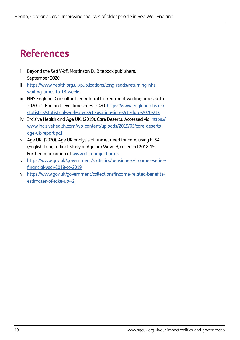## **References**

- i Beyond the *Red Wall*, Mattinson D., Biteback publishers, September 2020
- ii https://www.health.org.uk/publications/long-reads/returning-nhswaiting-times-to-18-weeks
- iii NHS England. Consultant-led referral to treatment waiting times data 2020-21. England level timeseries. 2020. https://www.england.nhs.uk/ statistics/statistical-work-areas/rtt-waiting-times/rtt-data-2020-21/.
- iv Incisive Health and Age UK. (2019). Care Deserts. Accessed via: https:// www.incisivehealth.com/wp-content/uploads/2019/05/care-desertsage-uk-report.pdf
- v Age UK. (2020). Age UK analysis of unmet need for care, using ELSA (English Longitudinal Study of Ageing) Wave 9, collected 2018-19. Further information at www.elsa-project.ac.uk
- vii https://www.gov.uk/government/statistics/pensioners-incomes-seriesfinancial-year-2018-to-2019
- viii https://www.gov.uk/government/collections/income-related-benefitsestimates-of-take-up--2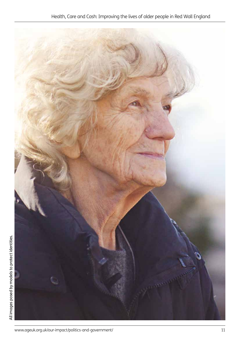